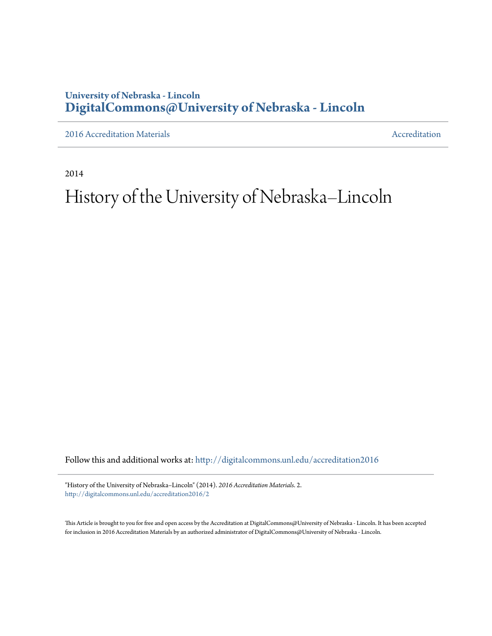## **University of Nebraska - Lincoln [DigitalCommons@University of Nebraska - Lincoln](http://digitalcommons.unl.edu?utm_source=digitalcommons.unl.edu%2Faccreditation2016%2F2&utm_medium=PDF&utm_campaign=PDFCoverPages)**

[2016 Accreditation Materials](http://digitalcommons.unl.edu/accreditation2016?utm_source=digitalcommons.unl.edu%2Faccreditation2016%2F2&utm_medium=PDF&utm_campaign=PDFCoverPages) **[Accreditation](http://digitalcommons.unl.edu/accreditation?utm_source=digitalcommons.unl.edu%2Faccreditation2016%2F2&utm_medium=PDF&utm_campaign=PDFCoverPages) Materials** Accreditation Accreditation

2014

## History of the University of Nebraska–Lincoln

Follow this and additional works at: [http://digitalcommons.unl.edu/accreditation2016](http://digitalcommons.unl.edu/accreditation2016?utm_source=digitalcommons.unl.edu%2Faccreditation2016%2F2&utm_medium=PDF&utm_campaign=PDFCoverPages)

"History of the University of Nebraska–Lincoln" (2014). *2016 Accreditation Materials*. 2. [http://digitalcommons.unl.edu/accreditation2016/2](http://digitalcommons.unl.edu/accreditation2016/2?utm_source=digitalcommons.unl.edu%2Faccreditation2016%2F2&utm_medium=PDF&utm_campaign=PDFCoverPages)

This Article is brought to you for free and open access by the Accreditation at DigitalCommons@University of Nebraska - Lincoln. It has been accepted for inclusion in 2016 Accreditation Materials by an authorized administrator of DigitalCommons@University of Nebraska - Lincoln.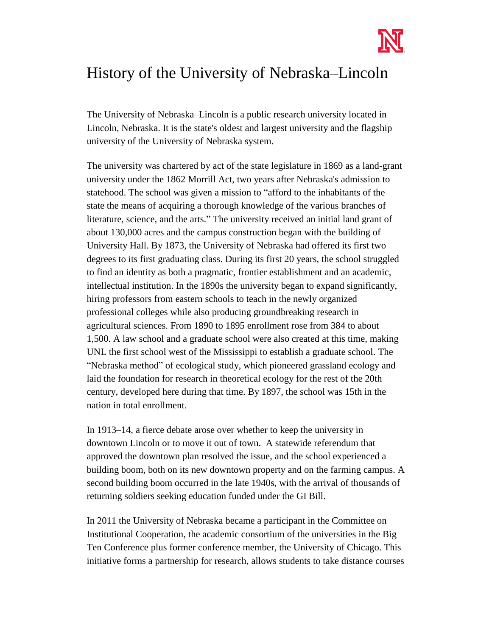

## History of the University of Nebraska–Lincoln

The University of Nebraska–Lincoln is a public research university located in Lincoln, Nebraska. It is the state's oldest and largest university and the flagship university of the University of Nebraska system.

The university was chartered by act of the state legislature in 1869 as a land-grant university under the 1862 Morrill Act, two years after Nebraska's admission to statehood. The school was given a mission to "afford to the inhabitants of the state the means of acquiring a thorough knowledge of the various branches of literature, science, and the arts." The university received an initial land grant of about 130,000 acres and the campus construction began with the building of University Hall. By 1873, the University of Nebraska had offered its first two degrees to its first graduating class. During its first 20 years, the school struggled to find an identity as both a pragmatic, frontier establishment and an academic, intellectual institution. In the 1890s the university began to expand significantly, hiring professors from eastern schools to teach in the newly organized professional colleges while also producing groundbreaking research in agricultural sciences. From 1890 to 1895 enrollment rose from 384 to about 1,500. A law school and a graduate school were also created at this time, making UNL the first school west of the Mississippi to establish a graduate school. The "Nebraska method" of ecological study, which pioneered grassland ecology and laid the foundation for research in theoretical ecology for the rest of the 20th century, developed here during that time. By 1897, the school was 15th in the nation in total enrollment.

In 1913–14, a fierce debate arose over whether to keep the university in downtown Lincoln or to move it out of town. A statewide referendum that approved the downtown plan resolved the issue, and the school experienced a building boom, both on its new downtown property and on the farming campus. A second building boom occurred in the late 1940s, with the arrival of thousands of returning soldiers seeking education funded under the GI Bill.

In 2011 the University of Nebraska became a participant in the [Committee on](http://en.wikipedia.org/wiki/Committee_on_Institutional_Cooperation)  [Institutional Cooperation,](http://en.wikipedia.org/wiki/Committee_on_Institutional_Cooperation) the academic consortium of the universities in the [Big](http://en.wikipedia.org/wiki/Big_Ten_Conference)  [Ten Conference](http://en.wikipedia.org/wiki/Big_Ten_Conference) plus former conference member, the [University of Chicago.](http://en.wikipedia.org/wiki/University_of_Chicago) This initiative forms a partnership for research, allows students to take distance courses